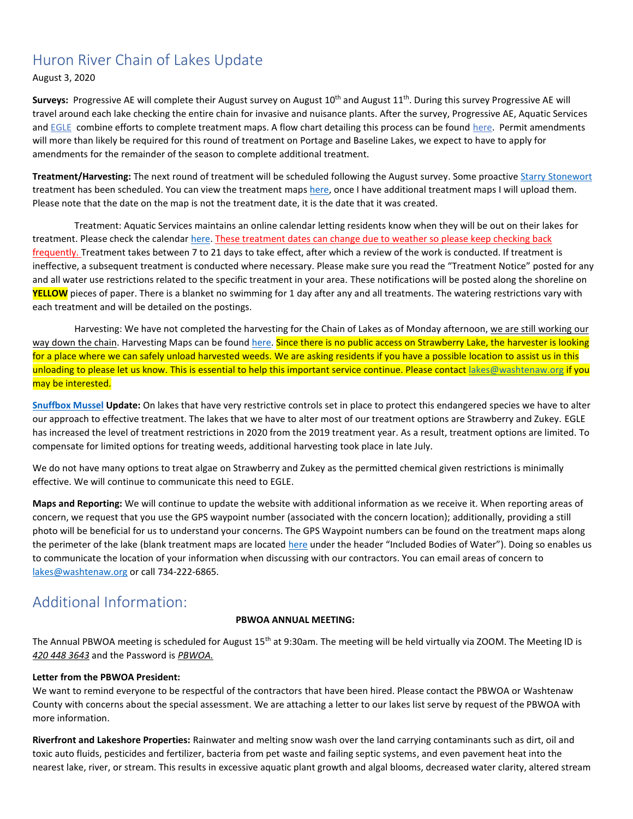### Huron River Chain of Lakes Update

August 3, 2020

Surveys: Progressive AE will complete their August survey on August 10<sup>th</sup> and August 11<sup>th</sup>. During this survey Progressive AE will travel around each lake checking the entire chain for invasive and nuisance plants. After the survey, Progressive AE, Aquatic Services and [EGLE](https://www.michigan.gov/egle/0,9429,7-135-3313_3681_3710---,00.html) combine efforts to complete treatment maps. A flow chart detailing this process can be found [here.](https://www.washtenaw.org/DocumentCenter/View/16305/HRCOL-Process-Flow-Chart) Permit amendments will more than likely be required for this round of treatment on Portage and Baseline Lakes, we expect to have to apply for amendments for the remainder of the season to complete additional treatment.

Treatment/Harvesting: The next round of treatment will be scheduled following the August survey. Some proactiv[e Starry Stonewort](https://www.washtenaw.org/DocumentCenter/View/14988/Status-and-Strategy-for-Starry-Stonewort-Nitellopsis-obtusa-Desv-in-Loisel-J-Groves-Management?bidId=) treatment has been scheduled. You can view the treatment map[s here,](https://www.washtenaw.org/799/Chain-of-Lakes-Weed-Control-Activities) once I have additional treatment maps I will upload them. Please note that the date on the map is not the treatment date, it is the date that it was created.

Treatment: Aquatic Services maintains an online calendar letting residents know when they will be out on their lakes for treatment. Please check the calendar [here.](https://www.aquaticservicesinc.info/schedules) These treatment dates can change due to weather so please keep checking back frequently. Treatment takes between 7 to 21 days to take effect, after which a review of the work is conducted. If treatment is ineffective, a subsequent treatment is conducted where necessary. Please make sure you read the "Treatment Notice" posted for any and all water use restrictions related to the specific treatment in your area. These notifications will be posted along the shoreline on **YELLOW** pieces of paper. There is a blanket no swimming for 1 day after any and all treatments. The watering restrictions vary with each treatment and will be detailed on the postings.

Harvesting: We have not completed the harvesting for the Chain of Lakes as of Monday afternoon, we are still working our way down the chain. Harvesting Maps can be found [here.](https://www.washtenaw.org/799/Chain-of-Lakes-Weed-Control-Activities) Since there is no public access on Strawberry Lake, the harvester is looking for a place where we can safely unload harvested weeds. We are asking residents if you have a possible location to assist us in this unloading to please let us know. This is essential to help this important service continue. Please contac[t lakes@washtenaw.org](mailto:lakes@washtenaw.org) if you may be interested.

**[Snuffbox Mussel](https://www.fws.gov/midwest/endangered/clams/snuffbox/SnuffboxFactSheet.html) Update:** On lakes that have very restrictive controls set in place to protect this endangered species we have to alter our approach to effective treatment. The lakes that we have to alter most of our treatment options are Strawberry and Zukey. EGLE has increased the level of treatment restrictions in 2020 from the 2019 treatment year. As a result, treatment options are limited. To compensate for limited options for treating weeds, additional harvesting took place in late July.

We do not have many options to treat algae on Strawberry and Zukey as the permitted chemical given restrictions is minimally effective. We will continue to communicate this need to EGLE.

**Maps and Reporting:** We will continue to update the website with additional information as we receive it. When reporting areas of concern, we request that you use the GPS waypoint number (associated with the concern location); additionally, providing a still photo will be beneficial for us to understand your concerns. The GPS Waypoint numbers can be found on the treatment maps along the perimeter of the lake (blank treatment maps are located [here](https://www.washtenaw.org/327/Chain-of-Lakes) under the header "Included Bodies of Water"). Doing so enables us to communicate the location of your information when discussing with our contractors. You can email areas of concern to [lakes@washtenaw.org](mailto:lakes@washtenaw.org) or call 734-222-6865.

### Additional Information:

#### **PBWOA ANNUAL MEETING:**

The Annual PBWOA meeting is scheduled for August 15<sup>th</sup> at 9:30am. The meeting will be held virtually via ZOOM. The Meeting ID is *420 448 3643* and the Password is *PBWOA.* 

#### **Letter from the PBWOA President:**

We want to remind everyone to be respectful of the contractors that have been hired. Please contact the PBWOA or Washtenaw County with concerns about the special assessment. We are attaching a letter to our lakes list serve by request of the PBWOA with more information.

**Riverfront and Lakeshore Properties:** Rainwater and melting snow wash over the land carrying contaminants such as dirt, oil and toxic auto fluids, pesticides and fertilizer, bacteria from pet waste and failing septic systems, and even pavement heat into the nearest lake, river, or stream. This results in excessive aquatic plant growth and algal blooms, decreased water clarity, altered stream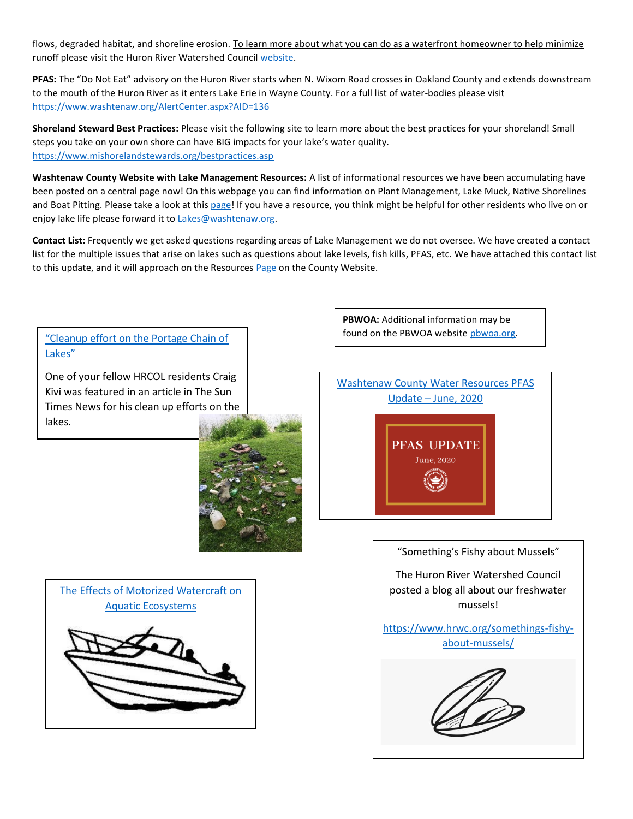flows, degraded habitat, and shoreline erosion. To learn more about what you can do as a waterfront homeowner to help minimize runoff please visit the Huron River Watershed Council [website.](https://www.hrwc.org/take-action/at-home/riverfront-lakeshore-properties/)

**PFAS:** The "Do Not Eat" advisory on the Huron River starts when N. Wixom Road crosses in Oakland County and extends downstream to the mouth of the Huron River as it enters Lake Erie in Wayne County. For a full list of water-bodies please visit <https://www.washtenaw.org/AlertCenter.aspx?AID=136>

**Shoreland Steward Best Practices:** Please visit the following site to learn more about the best practices for your shoreland! Small steps you take on your own shore can have BIG impacts for your lake's water quality. [https://www.mishorelandstewards.org/bestpractices.asp](https://gcc01.safelinks.protection.outlook.com/?url=https%3A%2F%2Fwww.mishorelandstewards.org%2Fbestpractices.asp&data=02%7C01%7Ckoloskil%40washtenaw.org%7Cc1099d767abc47df4fd108d6ffc1b605%7C940f79927c85414e8cb10632dd3a5282%7C0%7C0%7C636977604786419415&sdata=y9VJuglOwLSYM%2F8PlrbVRfiz7aXv3RoGR2iMVcbKcuY%3D&reserved=0)

**Washtenaw County Website with Lake Management Resources:** A list of informational resources we have been accumulating have been posted on a central page now! On this webpage you can find information on Plant Management, Lake Muck, Native Shorelines and Boat Pitting. Please take a look at this [page!](https://www.washtenaw.org/3062/Lake-Management-Resources) If you have a resource, you think might be helpful for other residents who live on or enjoy lake life please forward it to [Lakes@washtenaw.org.](mailto:Lakes@washtenaw.org)

**Contact List:** Frequently we get asked questions regarding areas of Lake Management we do not oversee. We have created a contact list for the multiple issues that arise on lakes such as questions about lake levels, fish kills, PFAS, etc. We have attached this contact list to this update, and it will approach on the Resources [Page](https://www.washtenaw.org/3062/Lake-Management-Resources) on the County Website.

found on the PBWOA website [pbwoa.org.](pbwoa.org) ["Cleanup effort on the Portage Chain of](https://thesuntimesnews.com/cleanup-effort-on-the-portage-chain-of-lakes/)  [Lakes"](https://thesuntimesnews.com/cleanup-effort-on-the-portage-chain-of-lakes/)

One of your fellow HRCOL residents Craig Kivi was featured in an article in The Sun Times News for his clean up efforts on the lakes.



[The Effects of Motorized Watercraft on](http://www.trpa.org/wp-content/uploads/2010-WI-Dept-of-Natural-Resources_UW-Boats-effects-on-ecosystems.pdf)  [Aquatic Ecosystems](http://www.trpa.org/wp-content/uploads/2010-WI-Dept-of-Natural-Resources_UW-Boats-effects-on-ecosystems.pdf)

**PBWOA:** Additional information may be



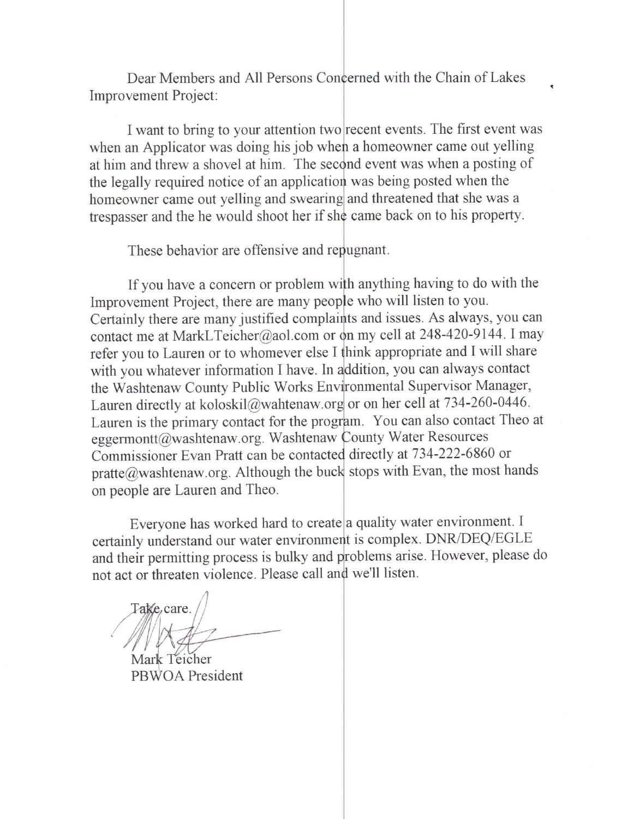Dear Members and All Persons Concerned with the Chain of Lakes Improvement Project:

I want to bring to your attention two recent events. The first event was when an Applicator was doing his job when a homeowner came out yelling at him and threw a shovel at him. The second event was when a posting of the legally required notice of an application was being posted when the homeowner came out yelling and swearing and threatened that she was a trespasser and the he would shoot her if she came back on to his property.

These behavior are offensive and repugnant.

If you have a concern or problem with anything having to do with the Improvement Project, there are many people who will listen to you. Certainly there are many justified complaints and issues. As always, you can contact me at MarkLTeicher@aol.com or on my cell at 248-420-9144. I may refer you to Lauren or to whomever else I think appropriate and I will share with you whatever information I have. In addition, you can always contact the Washtenaw County Public Works Environmental Supervisor Manager, Lauren directly at koloskil@wahtenaw.org or on her cell at 734-260-0446. Lauren is the primary contact for the program. You can also contact Theo at eggermontt@washtenaw.org. Washtenaw County Water Resources Commissioner Evan Pratt can be contacted directly at 734-222-6860 or pratte@washtenaw.org. Although the buck stops with Evan, the most hands on people are Lauren and Theo.

Everyone has worked hard to create a quality water environment. I certainly understand our water environment is complex. DNR/DEQ/EGLE and their permitting process is bulky and problems arise. However, please do not act or threaten violence. Please call and we'll listen.

Take care

Mark Teicher PBWOA President